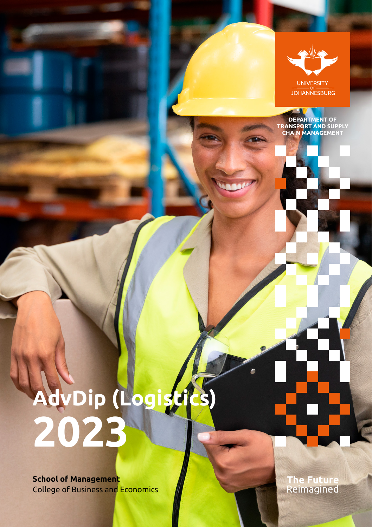

**DEPARTMENT OF<br>TRANSPORT AND SUPPLY<br>CHAIN MANAGEMENT** 

# **AdvDip (Logistics) 2023**

**School of Management** College of Business and Economics T<mark>he Future</mark><br>Reimagined

۵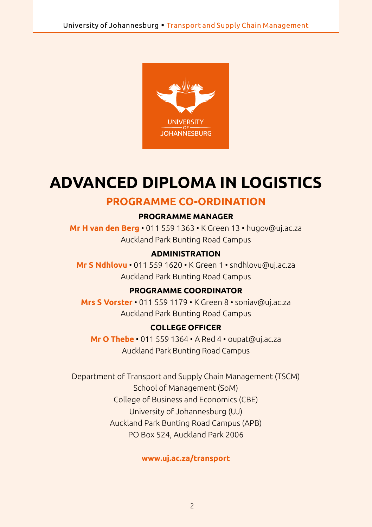

# **ADVANCED DIPLOMA IN LOGISTICS**

## **PROGRAMME CO-ORDINATION**

#### **PROGRAMME MANAGER**

**Mr H van den Berg** • 011 559 1363 • K Green 13 • [hugov@uj.ac.za](mailto:hugov@uj.ac.za)  Auckland Park Bunting Road Campus

#### **ADMINISTRATION**

**Mr S Ndhlovu** • 011 559 1620 • K Green 1 • [sndhlovu@uj.ac.za](mailto:sndhlovu@uj.ac.za) Auckland Park Bunting Road Campus

#### **PROGRAMME COORDINATOR**

**Mrs S Vorster** • 011 559 1179 • K Green 8 • [soniav@uj.ac.za](mailto:soniav@uj.ac.za) Auckland Park Bunting Road Campus

#### **COLLEGE OFFICER**

**Mr O Thebe** • 011 559 1364 • A Red 4 • [oupat@uj.ac.za](mailto:oupat@uj.ac.za) Auckland Park Bunting Road Campus

Department of Transport and Supply Chain Management (TSCM) School of Management (SoM) College of Business and Economics (CBE) University of Johannesburg (UJ) Auckland Park Bunting Road Campus (APB) PO Box 524, Auckland Park 2006

#### **<www.uj.ac.za/transport>**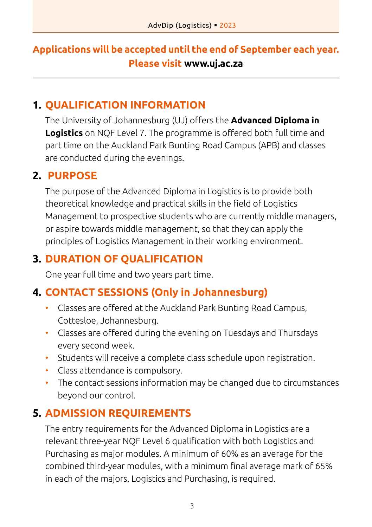# **Applications will be accepted until the end of September each year. Please visit www.uj.ac.za**

# **1. QUALIFICATION INFORMATION**

The University of Johannesburg (UJ) offers the **Advanced Diploma in Logistics** on NQF Level 7. The programme is offered both full time and part time on the Auckland Park Bunting Road Campus (APB) and classes are conducted during the evenings.

# **2. PURPOSE**

The purpose of the Advanced Diploma in Logistics is to provide both theoretical knowledge and practical skills in the field of Logistics Management to prospective students who are currently middle managers, or aspire towards middle management, so that they can apply the principles of Logistics Management in their working environment.

# **3. DURATION OF QUALIFICATION**

One year full time and two years part time.

# **4. CONTACT SESSIONS (Only in Johannesburg)**

- Classes are offered at the Auckland Park Bunting Road Campus, Cottesloe, Johannesburg.
- Classes are offered during the evening on Tuesdays and Thursdays every second week.
- Students will receive a complete class schedule upon registration.
- Class attendance is compulsory.
- The contact sessions information may be changed due to circumstances beyond our control.

# **5. ADMISSION REQUIREMENTS**

The entry requirements for the Advanced Diploma in Logistics are a relevant three-year NQF Level 6 qualification with both Logistics and Purchasing as major modules. A minimum of 60% as an average for the combined third-year modules, with a minimum final average mark of 65% in each of the majors, Logistics and Purchasing, is required.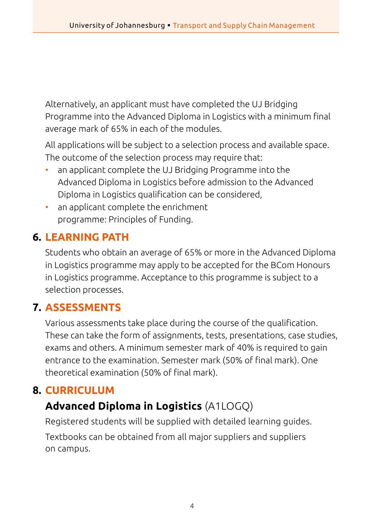Alternatively, an applicant must have completed the UJ Bridging Programme into the Advanced Diploma in Logistics with a minimum final average mark of 65% in each of the modules.

All applications will be subject to a selection process and available space. The outcome of the selection process may require that:

- an applicant complete the UJ Bridging Programme into the Advanced Diploma in Logistics before admission to the Advanced Diploma in Logistics qualification can be considered,
- an applicant complete the enrichment programme: Principles of Funding.

# **6. LEARNING PATH**

Students who obtain an average of 65% or more in the Advanced Diploma in Logistics programme may apply to be accepted for the BCom Honours in Logistics programme. Acceptance to this programme is subject to a selection processes.

# **7. ASSESSMENTS**

Various assessments take place during the course of the qualification. These can take the form of assignments, tests, presentations, case studies, exams and others. A minimum semester mark of 40% is required to gain entrance to the examination. Semester mark (50% of final mark). One theoretical examination (50% of final mark).

# **8. CURRICULUM**

# **Advanced Diploma in Logistics** (A1LOGQ)

Registered students will be supplied with detailed learning guides. Textbooks can be obtained from all major suppliers and suppliers on campus.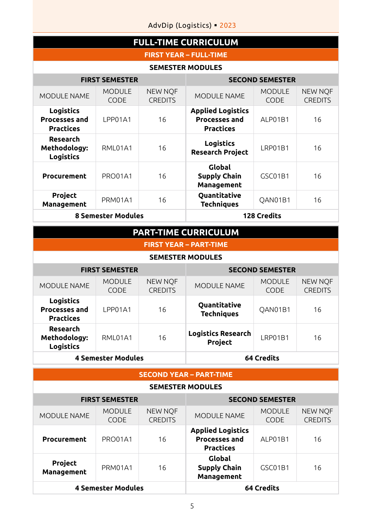AdvDip (Logistics) · 2023

| <b>FULL-TIME CURRICULUM</b>                                  |                       |                                  |                                                                      |                       |                                  |  |
|--------------------------------------------------------------|-----------------------|----------------------------------|----------------------------------------------------------------------|-----------------------|----------------------------------|--|
| <b>FIRST YEAR - FULL-TIME</b>                                |                       |                                  |                                                                      |                       |                                  |  |
| <b>SEMESTER MODULES</b>                                      |                       |                                  |                                                                      |                       |                                  |  |
| <b>FIRST SEMESTER</b>                                        |                       |                                  | <b>SECOND SEMESTER</b>                                               |                       |                                  |  |
| <b>MODULE NAME</b>                                           | <b>MODULE</b><br>CODE | <b>NEW NOF</b><br><b>CREDITS</b> | MODULE NAME                                                          | <b>MODULE</b><br>CODE | <b>NEW NOF</b><br><b>CREDITS</b> |  |
| <b>Logistics</b><br><b>Processes and</b><br><b>Practices</b> | LPP01A1               | 16                               | <b>Applied Logistics</b><br><b>Processes and</b><br><b>Practices</b> | ALP01B1               | 16                               |  |
| Research<br>Methodology:<br><b>Logistics</b>                 | RML01A1               | 16                               | Logistics<br><b>Research Project</b>                                 | LRP01B1               | 16                               |  |
| Procurement                                                  | <b>PRO01A1</b>        | 16                               | Global<br><b>Supply Chain</b><br><b>Management</b>                   | GSC01B1               | 16                               |  |
| Project<br>Management                                        | PRM01A1               | 16                               | <b>Ouantitative</b><br><b>Techniques</b>                             | OAN01B1               | 16                               |  |
| <b>8 Semester Modules</b>                                    |                       | <b>128 Credits</b>               |                                                                      |                       |                                  |  |

## **PART-TIME CURRICULUM**

#### **FIRST YEAR – PART-TIME**

#### **SEMESTER MODULES**

|                                                              | <b>FIRST SEMESTER</b>        |                                  |                                          | <b>SECOND SEMESTER</b> |                                  |
|--------------------------------------------------------------|------------------------------|----------------------------------|------------------------------------------|------------------------|----------------------------------|
| <b>MODULE NAME</b>                                           | <b>MODULE</b><br><b>CODE</b> | <b>NEW NOF</b><br><b>CREDITS</b> | <b>MODULE NAME</b>                       | <b>MODULE</b><br>CODE  | <b>NEW NOF</b><br><b>CREDITS</b> |
| <b>Logistics</b><br><b>Processes and</b><br><b>Practices</b> | LPP01A1                      | 16                               | <b>Quantitative</b><br><b>Techniques</b> | QAN01B1                | 16                               |
| Research<br>Methodology:<br><b>Logistics</b>                 | RML01A1                      | 16                               | <b>Logistics Research</b><br>Project     | LRP01B1                | 16                               |
|                                                              | <b>4 Semester Modules</b>    |                                  |                                          | 64 Credits             |                                  |

#### **SECOND YEAR – PART-TIME**

#### **SEMESTER MODULES**

|                       | <b>FIRST SEMESTER</b>        |                                  |                                                                      | <b>SECOND SEMESTER</b>       |                                  |
|-----------------------|------------------------------|----------------------------------|----------------------------------------------------------------------|------------------------------|----------------------------------|
| <b>MODULE NAME</b>    | <b>MODULE</b><br><b>CODE</b> | <b>NEW NOF</b><br><b>CREDITS</b> | <b>MODULE NAME</b>                                                   | <b>MODULE</b><br><b>CODE</b> | <b>NEW NOF</b><br><b>CREDITS</b> |
| Procurement           | PRO01A1                      | 16                               | <b>Applied Logistics</b><br><b>Processes and</b><br><b>Practices</b> | ALP01B1                      | 16                               |
| Project<br>Management | PRM01A1                      | 16                               | Global<br><b>Supply Chain</b><br>Management                          | GSC01B1                      | 16                               |
|                       | <b>4 Semester Modules</b>    |                                  |                                                                      | 64 Credits                   |                                  |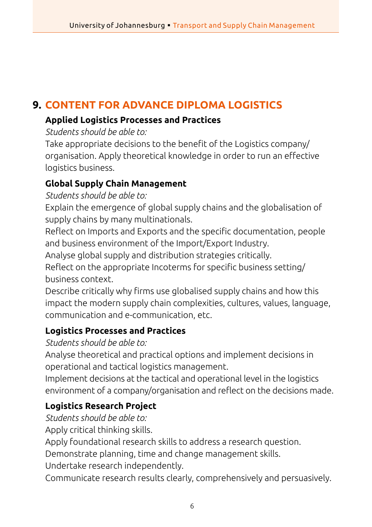# **9. CONTENT FOR ADVANCE DIPLOMA LOGISTICS**

## **Applied Logistics Processes and Practices**

*Students should be able to:*

Take appropriate decisions to the benefit of the Logistics company/ organisation. Apply theoretical knowledge in order to run an effective logistics business.

## **Global Supply Chain Management**

*Students should be able to:*

Explain the emergence of global supply chains and the globalisation of supply chains by many multinationals.

Reflect on Imports and Exports and the specific documentation, people and business environment of the Import/Export Industry.

Analyse global supply and distribution strategies critically.

Reflect on the appropriate Incoterms for specific business setting/ business context.

Describe critically why firms use globalised supply chains and how this impact the modern supply chain complexities, cultures, values, language, communication and e-communication, etc.

## **Logistics Processes and Practices**

*Students should be able to:*

Analyse theoretical and practical options and implement decisions in operational and tactical logistics management.

Implement decisions at the tactical and operational level in the logistics environment of a company/organisation and reflect on the decisions made.

## **Logistics Research Project**

*Students should be able to:*

Apply critical thinking skills.

Apply foundational research skills to address a research question.

Demonstrate planning, time and change management skills.

Undertake research independently.

Communicate research results clearly, comprehensively and persuasively.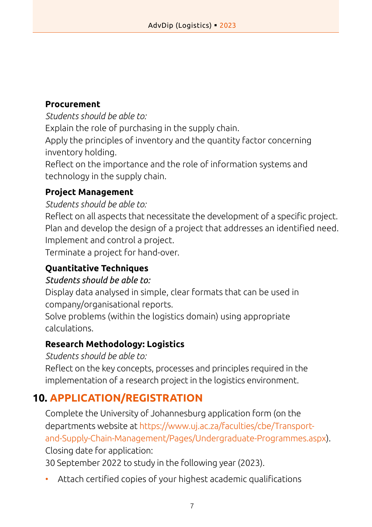## **Procurement**

*Students should be able to:*

Explain the role of purchasing in the supply chain.

Apply the principles of inventory and the quantity factor concerning inventory holding.

Reflect on the importance and the role of information systems and technology in the supply chain.

## **Project Management**

### *Students should be able to:*

Reflect on all aspects that necessitate the development of a specific project. Plan and develop the design of a project that addresses an identified need. Implement and control a project.

Terminate a project for hand-over.

## **Quantitative Techniques**

## *Students should be able to:*

Display data analysed in simple, clear formats that can be used in company/organisational reports.

Solve problems (within the logistics domain) using appropriate calculations.

## **Research Methodology: Logistics**

*Students should be able to:*

Reflect on the key concepts, processes and principles required in the implementation of a research project in the logistics environment.

# **10. APPLICATION/REGISTRATION**

Complete the University of Johannesburg application form (on the departments website at [https://www.uj.ac.za/faculties/cbe/Transport](https://www.uj.ac.za/faculties/cbe/Transport-and-Supply-Chain-Management/Pages/Undergraduate-Programmes.aspx)[and-Supply-Chain-Management/Pages/Undergraduate-Programmes.aspx](https://www.uj.ac.za/faculties/cbe/Transport-and-Supply-Chain-Management/Pages/Undergraduate-Programmes.aspx)). Closing date for application:

30 September 2022 to study in the following year (2023).

• Attach certified copies of your highest academic qualifications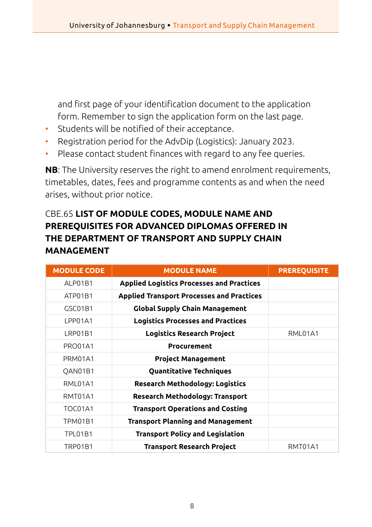and first page of your identification document to the application form. Remember to sign the application form on the last page.

- Students will be notified of their acceptance.
- Registration period for the AdvDip (Logistics): January 2023.
- Please contact student finances with regard to any fee queries.

**NB**: The University reserves the right to amend enrolment requirements, timetables, dates, fees and programme contents as and when the need arises, without prior notice.

## CBE.65 **LIST OF MODULE CODES, MODULE NAME AND PREREQUISITES FOR ADVANCED DIPLOMAS OFFERED IN THE DEPARTMENT OF TRANSPORT AND SUPPLY CHAIN MANAGEMENT**

| <b>MODULE CODE</b> | <b>MODULE NAME</b>                               | <b>PREREQUISITE</b> |
|--------------------|--------------------------------------------------|---------------------|
| ALP01B1            | <b>Applied Logistics Processes and Practices</b> |                     |
| ATP01B1            | <b>Applied Transport Processes and Practices</b> |                     |
| GSC01B1            | <b>Global Supply Chain Management</b>            |                     |
| LPP01A1            | <b>Logistics Processes and Practices</b>         |                     |
| LRP01B1            | <b>Logistics Research Project</b>                | RML01A1             |
| PRO01A1            | Procurement                                      |                     |
| PRM01A1            | <b>Project Management</b>                        |                     |
| OAN01B1            | <b>Quantitative Techniques</b>                   |                     |
| RML01A1            | <b>Research Methodology: Logistics</b>           |                     |
| RMT01A1            | <b>Research Methodology: Transport</b>           |                     |
| TOC01A1            | <b>Transport Operations and Costing</b>          |                     |
| TPM01B1            | <b>Transport Planning and Management</b>         |                     |
| <b>TPL01B1</b>     | <b>Transport Policy and Legislation</b>          |                     |
| TRP01B1            | <b>Transport Research Project</b>                | RMT01A1             |